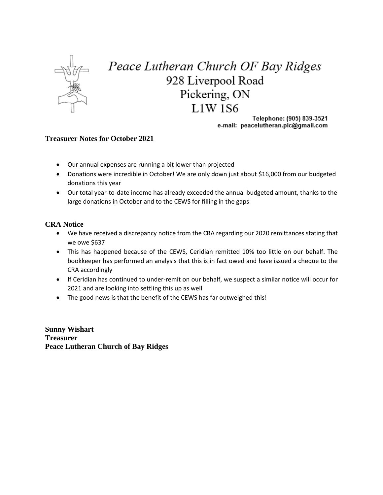

## Peace Lutheran Church OF Bay Ridges 928 Liverpool Road Pickering, ON **L1W1S6**

Telephone: (905) 839-3521 e-mail: peacelutheran.plc@gmail.com

## **Treasurer Notes for October 2021**

- Our annual expenses are running a bit lower than projected
- Donations were incredible in October! We are only down just about \$16,000 from our budgeted donations this year
- Our total year-to-date income has already exceeded the annual budgeted amount, thanks to the large donations in October and to the CEWS for filling in the gaps

## **CRA Notice**

- We have received a discrepancy notice from the CRA regarding our 2020 remittances stating that we owe \$637
- This has happened because of the CEWS, Ceridian remitted 10% too little on our behalf. The bookkeeper has performed an analysis that this is in fact owed and have issued a cheque to the CRA accordingly
- If Ceridian has continued to under-remit on our behalf, we suspect a similar notice will occur for 2021 and are looking into settling this up as well
- The good news is that the benefit of the CEWS has far outweighed this!

**Sunny Wishart Treasurer Peace Lutheran Church of Bay Ridges**